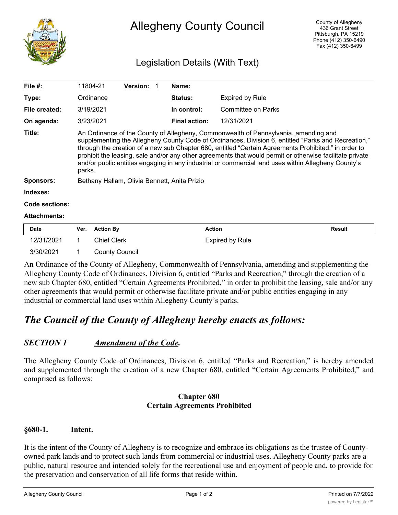

# Allegheny County Council

## Legislation Details (With Text)

| File $#$ :          | 11804-21                                                                                                                                                                                                                                                                                                                                                                                                                                                                                                                        | <b>Version:</b> |  | Name:                |                           |  |
|---------------------|---------------------------------------------------------------------------------------------------------------------------------------------------------------------------------------------------------------------------------------------------------------------------------------------------------------------------------------------------------------------------------------------------------------------------------------------------------------------------------------------------------------------------------|-----------------|--|----------------------|---------------------------|--|
| Type:               | Ordinance                                                                                                                                                                                                                                                                                                                                                                                                                                                                                                                       |                 |  | <b>Status:</b>       | <b>Expired by Rule</b>    |  |
| File created:       | 3/19/2021                                                                                                                                                                                                                                                                                                                                                                                                                                                                                                                       |                 |  | In control:          | <b>Committee on Parks</b> |  |
| On agenda:          | 3/23/2021                                                                                                                                                                                                                                                                                                                                                                                                                                                                                                                       |                 |  | <b>Final action:</b> | 12/31/2021                |  |
| Title:              | An Ordinance of the County of Allegheny, Commonwealth of Pennsylvania, amending and<br>supplementing the Allegheny County Code of Ordinances, Division 6, entitled "Parks and Recreation,"<br>through the creation of a new sub Chapter 680, entitled "Certain Agreements Prohibited," in order to<br>prohibit the leasing, sale and/or any other agreements that would permit or otherwise facilitate private<br>and/or public entities engaging in any industrial or commercial land uses within Allegheny County's<br>parks. |                 |  |                      |                           |  |
| <b>Sponsors:</b>    | Bethany Hallam, Olivia Bennett, Anita Prizio                                                                                                                                                                                                                                                                                                                                                                                                                                                                                    |                 |  |                      |                           |  |
| Indexes:            |                                                                                                                                                                                                                                                                                                                                                                                                                                                                                                                                 |                 |  |                      |                           |  |
| Code sections:      |                                                                                                                                                                                                                                                                                                                                                                                                                                                                                                                                 |                 |  |                      |                           |  |
| <b>Attachments:</b> |                                                                                                                                                                                                                                                                                                                                                                                                                                                                                                                                 |                 |  |                      |                           |  |

| <b>Date</b> | Ver. Action By        | Action          | Result |
|-------------|-----------------------|-----------------|--------|
| 12/31/2021  | <b>Chief Clerk</b>    | Expired by Rule |        |
| 3/30/2021   | <b>County Council</b> |                 |        |

An Ordinance of the County of Allegheny, Commonwealth of Pennsylvania, amending and supplementing the Allegheny County Code of Ordinances, Division 6, entitled "Parks and Recreation," through the creation of a new sub Chapter 680, entitled "Certain Agreements Prohibited," in order to prohibit the leasing, sale and/or any other agreements that would permit or otherwise facilitate private and/or public entities engaging in any industrial or commercial land uses within Allegheny County's parks.

# *The Council of the County of Allegheny hereby enacts as follows:*

### *SECTION 1 Amendment of the Code.*

The Allegheny County Code of Ordinances, Division 6, entitled "Parks and Recreation," is hereby amended and supplemented through the creation of a new Chapter 680, entitled "Certain Agreements Prohibited," and comprised as follows:

#### **Chapter 680 Certain Agreements Prohibited**

#### **§680-1. Intent.**

It is the intent of the County of Allegheny is to recognize and embrace its obligations as the trustee of Countyowned park lands and to protect such lands from commercial or industrial uses. Allegheny County parks are a public, natural resource and intended solely for the recreational use and enjoyment of people and, to provide for the preservation and conservation of all life forms that reside within.